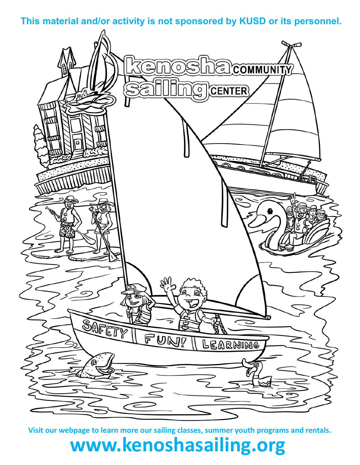**This material and/or activity is not sponsored by KUSD or its personnel.**



**Visit our webpage to learn more our sailing classes, summer youth programs and rentals.**

## **www.kenoshasailing.org**